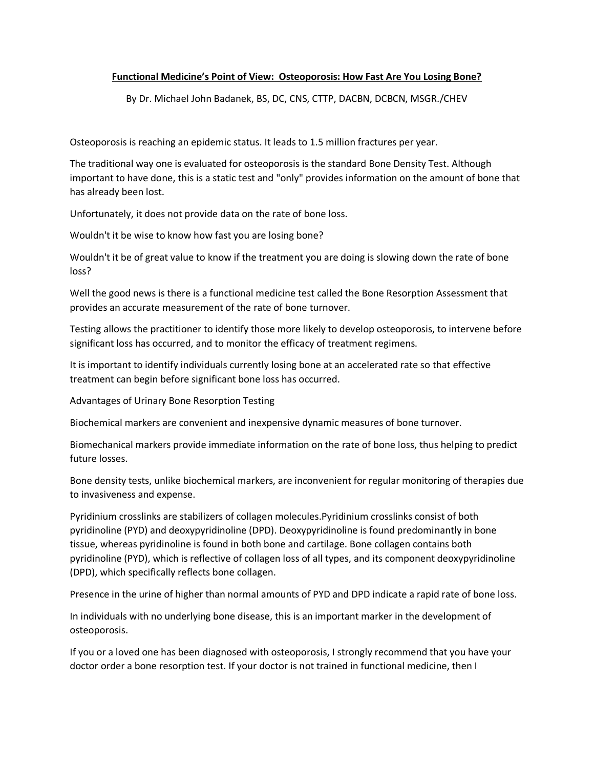## **Functional Medicine's Point of View: Osteoporosis: How Fast Are You Losing Bone?**

By Dr. Michael John Badanek, BS, DC, CNS, CTTP, DACBN, DCBCN, MSGR./CHEV

Osteoporosis is reaching an epidemic status. It leads to 1.5 million fractures per year.

The traditional way one is evaluated for osteoporosis is the standard Bone Density Test. Although important to have done, this is a static test and "only" provides information on the amount of bone that has already been lost.

Unfortunately, it does not provide data on the rate of bone loss.

Wouldn't it be wise to know how fast you are losing bone?

Wouldn't it be of great value to know if the treatment you are doing is slowing down the rate of bone loss?

Well the good news is there is a functional medicine test called the Bone Resorption Assessment that provides an accurate measurement of the rate of bone turnover.

Testing allows the practitioner to identify those more likely to develop osteoporosis, to intervene before significant loss has occurred, and to monitor the efficacy of treatment regimens.

It is important to identify individuals currently losing bone at an accelerated rate so that effective treatment can begin before significant bone loss has occurred.

Advantages of Urinary Bone Resorption Testing

Biochemical markers are convenient and inexpensive dynamic measures of bone turnover.

Biomechanical markers provide immediate information on the rate of bone loss, thus helping to predict future losses.

Bone density tests, unlike biochemical markers, are inconvenient for regular monitoring of therapies due to invasiveness and expense.

Pyridinium crosslinks are stabilizers of collagen molecules.Pyridinium crosslinks consist of both pyridinoline (PYD) and deoxypyridinoline (DPD). Deoxypyridinoline is found predominantly in bone tissue, whereas pyridinoline is found in both bone and cartilage. Bone collagen contains both pyridinoline (PYD), which is reflective of collagen loss of all types, and its component deoxypyridinoline (DPD), which specifically reflects bone collagen.

Presence in the urine of higher than normal amounts of PYD and DPD indicate a rapid rate of bone loss.

In individuals with no underlying bone disease, this is an important marker in the development of osteoporosis.

If you or a loved one has been diagnosed with osteoporosis, I strongly recommend that you have your doctor order a bone resorption test. If your doctor is not trained in functional medicine, then I